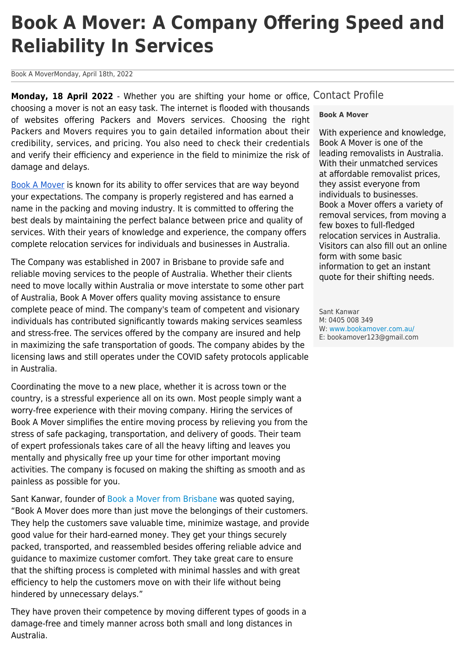## **Book A Mover: A Company Offering Speed and Reliability In Services**

Book A MoverMonday, April 18th, 2022

Monday, 18 April 2022 - Whether you are shifting your home or office, Contact Profile choosing a mover is not an easy task. The internet is flooded with thousands of websites offering Packers and Movers services. Choosing the right Packers and Movers requires you to gain detailed information about their credibility, services, and pricing. You also need to check their credentials and verify their efficiency and experience in the field to minimize the risk of damage and delays.

[Book A Mover](https://www.bookamover.com.au/) is known for its ability to offer services that are way beyond your expectations. The company is properly registered and has earned a name in the packing and moving industry. It is committed to offering the best deals by maintaining the perfect balance between price and quality of services. With their years of knowledge and experience, the company offers complete relocation services for individuals and businesses in Australia.

The Company was established in 2007 in Brisbane to provide safe and reliable moving services to the people of Australia. Whether their clients need to move locally within Australia or move interstate to some other part of Australia, Book A Mover offers quality moving assistance to ensure complete peace of mind. The company's team of competent and visionary individuals has contributed significantly towards making services seamless and stress-free. The services offered by the company are insured and help in maximizing the safe transportation of goods. The company abides by the licensing laws and still operates under the COVID safety protocols applicable in Australia.

Coordinating the move to a new place, whether it is across town or the country, is a stressful experience all on its own. Most people simply want a worry-free experience with their moving company. Hiring the services of Book A Mover simplifies the entire moving process by relieving you from the stress of safe packaging, transportation, and delivery of goods. Their team of expert professionals takes care of all the heavy lifting and leaves you mentally and physically free up your time for other important moving activities. The company is focused on making the shifting as smooth and as painless as possible for you.

Sant Kanwar, founder of [Book a Mover from Brisbane](https://www.bookamover.com.au/removalists-brisbane) was quoted saying, "Book A Mover does more than just move the belongings of their customers. They help the customers save valuable time, minimize wastage, and provide good value for their hard-earned money. They get your things securely packed, transported, and reassembled besides offering reliable advice and guidance to maximize customer comfort. They take great care to ensure that the shifting process is completed with minimal hassles and with great efficiency to help the customers move on with their life without being hindered by unnecessary delays."

They have proven their competence by moving different types of goods in a damage-free and timely manner across both small and long distances in Australia.

## **Book A Mover**

With experience and knowledge, Book A Mover is one of the leading removalists in Australia. With their unmatched services at affordable removalist prices, they assist everyone from individuals to businesses. Book a Mover offers a variety of removal services, from moving a few boxes to full-fledged relocation services in Australia. Visitors can also fill out an online form with some basic information to get an instant quote for their shifting needs.

Sant Kanwar M: 0405 008 349 W: [www.bookamover.com.au/](https://www.bookamover.com.au/) E: bookamover123@gmail.com